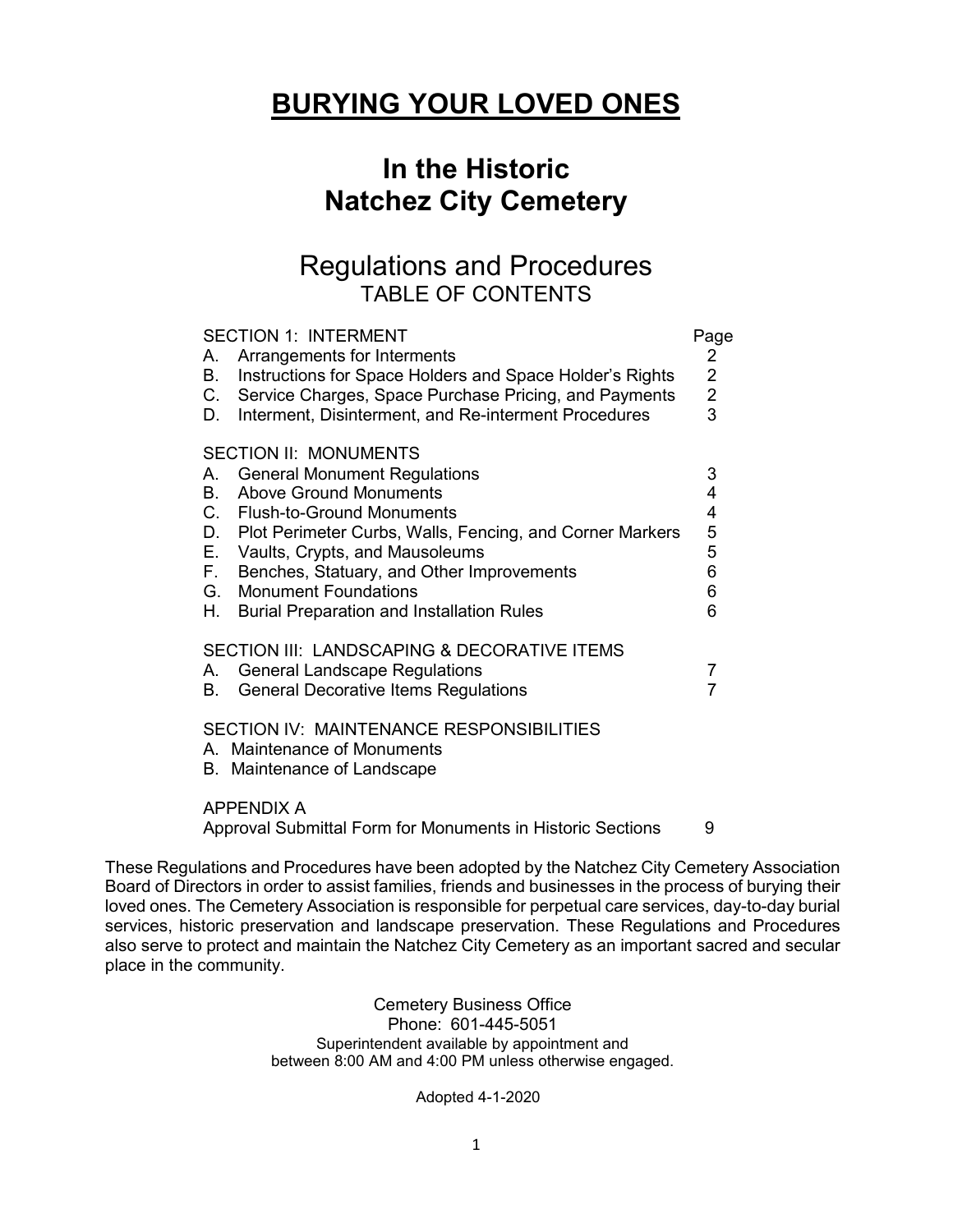# **BURYING YOUR LOVED ONES**

## **In the Historic Natchez City Cemetery**

## Regulations and Procedures TABLE OF CONTENTS

| <b>SECTION 1: INTERMENT</b><br>Arrangements for Interments<br>А.<br>Instructions for Space Holders and Space Holder's Rights<br>В.<br>C.<br>Service Charges, Space Purchase Pricing, and Payments<br>Interment, Disinterment, and Re-interment Procedures<br>D.                                                                                                                                                        | Page<br>$\overline{2}$<br>$\overline{2}$<br>$\frac{2}{3}$ |
|------------------------------------------------------------------------------------------------------------------------------------------------------------------------------------------------------------------------------------------------------------------------------------------------------------------------------------------------------------------------------------------------------------------------|-----------------------------------------------------------|
| <b>SECTION II: MONUMENTS</b><br><b>General Monument Regulations</b><br>А.<br><b>Above Ground Monuments</b><br>В.<br>C.<br><b>Flush-to-Ground Monuments</b><br>Plot Perimeter Curbs, Walls, Fencing, and Corner Markers<br>D.<br>Е.<br>Vaults, Crypts, and Mausoleums<br>F.<br>Benches, Statuary, and Other Improvements<br>G.<br><b>Monument Foundations</b><br>Н.<br><b>Burial Preparation and Installation Rules</b> | 3<br>4<br>4<br>5<br>5<br>6<br>6<br>6                      |
| SECTION III: LANDSCAPING & DECORATIVE ITEMS<br><b>General Landscape Regulations</b><br>А.<br><b>General Decorative Items Regulations</b><br>В.<br>SECTION IV: MAINTENANCE RESPONSIBILITIES                                                                                                                                                                                                                             | 7<br>$\overline{7}$                                       |
| A. Maintenance of Monuments<br>B. Maintenance of Landscape<br><b>APPENDIX A</b><br>Approval Submittal Form for Monuments in Historic Sections                                                                                                                                                                                                                                                                          | 9                                                         |

These Regulations and Procedures have been adopted by the Natchez City Cemetery Association Board of Directors in order to assist families, friends and businesses in the process of burying their loved ones. The Cemetery Association is responsible for perpetual care services, day-to-day burial services, historic preservation and landscape preservation. These Regulations and Procedures also serve to protect and maintain the Natchez City Cemetery as an important sacred and secular place in the community.

> Cemetery Business Office Phone: 601-445-5051 Superintendent available by appointment and between 8:00 AM and 4:00 PM unless otherwise engaged.

> > Adopted 4-1-2020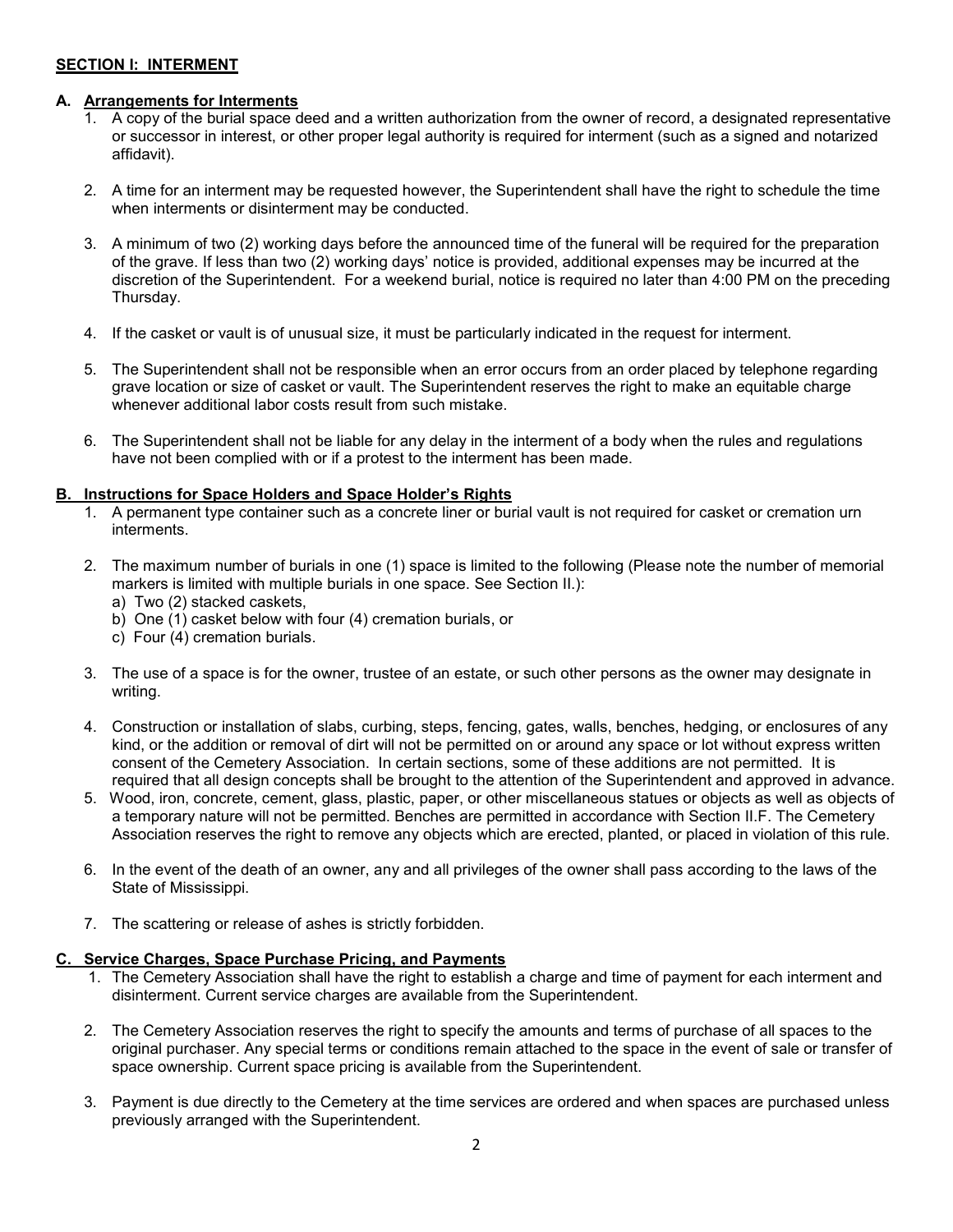## **SECTION I: INTERMENT**

#### **A. Arrangements for Interments**

- 1. A copy of the burial space deed and a written authorization from the owner of record, a designated representative or successor in interest, or other proper legal authority is required for interment (such as a signed and notarized affidavit).
- 2. A time for an interment may be requested however, the Superintendent shall have the right to schedule the time when interments or disinterment may be conducted.
- 3. A minimum of two (2) working days before the announced time of the funeral will be required for the preparation of the grave. If less than two (2) working days' notice is provided, additional expenses may be incurred at the discretion of the Superintendent. For a weekend burial, notice is required no later than 4:00 PM on the preceding Thursday.
- 4. If the casket or vault is of unusual size, it must be particularly indicated in the request for interment.
- 5. The Superintendent shall not be responsible when an error occurs from an order placed by telephone regarding grave location or size of casket or vault. The Superintendent reserves the right to make an equitable charge whenever additional labor costs result from such mistake.
- 6. The Superintendent shall not be liable for any delay in the interment of a body when the rules and regulations have not been complied with or if a protest to the interment has been made.

### **B. Instructions for Space Holders and Space Holder's Rights**

- 1. A permanent type container such as a concrete liner or burial vault is not required for casket or cremation urn interments.
- 2. The maximum number of burials in one (1) space is limited to the following (Please note the number of memorial markers is limited with multiple burials in one space. See Section II.):
	- a) Two (2) stacked caskets,
	- b) One (1) casket below with four (4) cremation burials, or
	- c) Four (4) cremation burials.
- 3. The use of a space is for the owner, trustee of an estate, or such other persons as the owner may designate in writing.
- 4. Construction or installation of slabs, curbing, steps, fencing, gates, walls, benches, hedging, or enclosures of any kind, or the addition or removal of dirt will not be permitted on or around any space or lot without express written consent of the Cemetery Association. In certain sections, some of these additions are not permitted. It is required that all design concepts shall be brought to the attention of the Superintendent and approved in advance.
- 5. Wood, iron, concrete, cement, glass, plastic, paper, or other miscellaneous statues or objects as well as objects of a temporary nature will not be permitted. Benches are permitted in accordance with Section II.F. The Cemetery Association reserves the right to remove any objects which are erected, planted, or placed in violation of this rule.
- 6. In the event of the death of an owner, any and all privileges of the owner shall pass according to the laws of the State of Mississippi.
- 7. The scattering or release of ashes is strictly forbidden.

#### **C. Service Charges, Space Purchase Pricing, and Payments**

- 1. The Cemetery Association shall have the right to establish a charge and time of payment for each interment and disinterment. Current service charges are available from the Superintendent.
- 2. The Cemetery Association reserves the right to specify the amounts and terms of purchase of all spaces to the original purchaser. Any special terms or conditions remain attached to the space in the event of sale or transfer of space ownership. Current space pricing is available from the Superintendent.
- 3. Payment is due directly to the Cemetery at the time services are ordered and when spaces are purchased unless previously arranged with the Superintendent.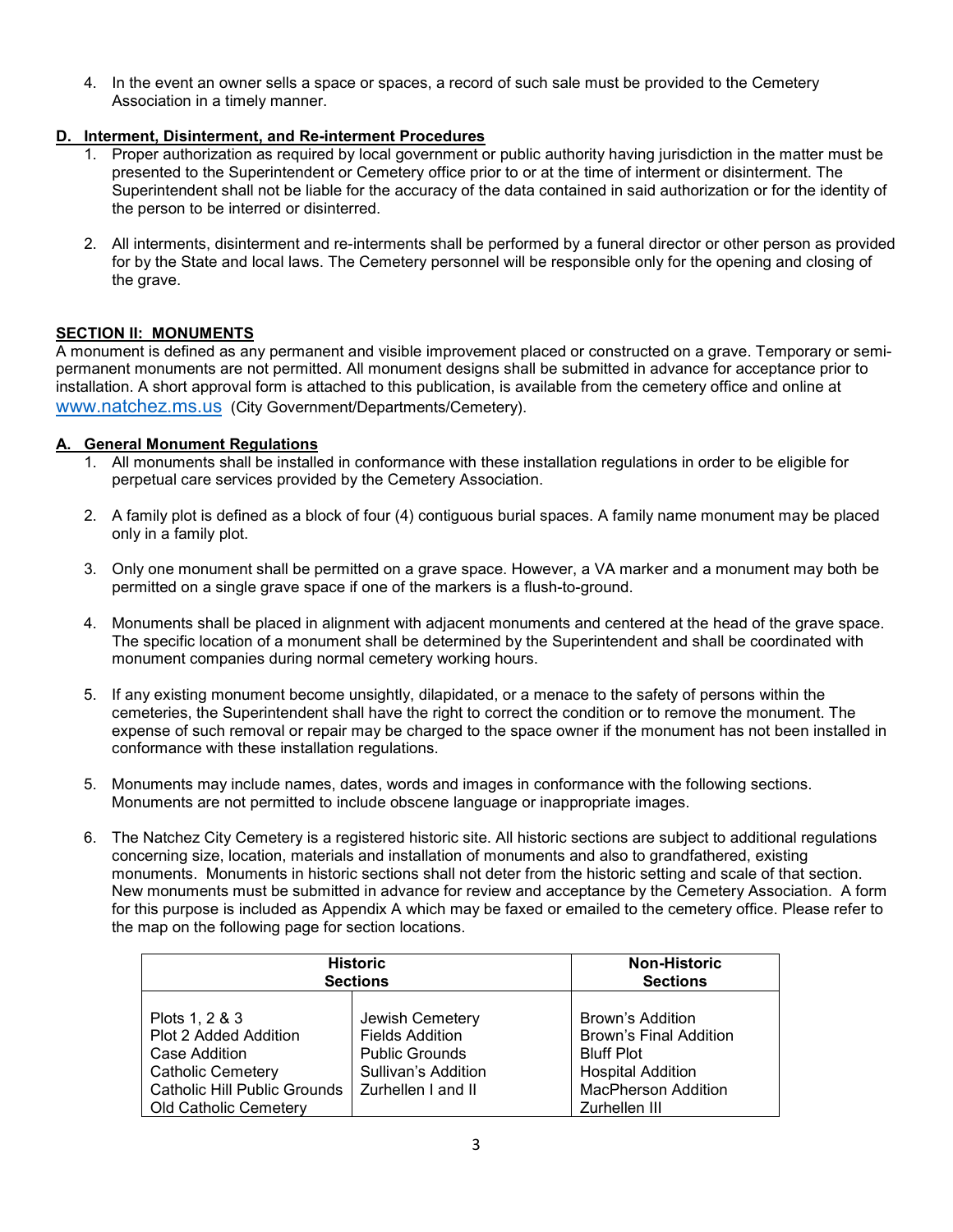4. In the event an owner sells a space or spaces, a record of such sale must be provided to the Cemetery Association in a timely manner.

## **D. Interment, Disinterment, and Re-interment Procedures**

- 1. Proper authorization as required by local government or public authority having jurisdiction in the matter must be presented to the Superintendent or Cemetery office prior to or at the time of interment or disinterment. The Superintendent shall not be liable for the accuracy of the data contained in said authorization or for the identity of the person to be interred or disinterred.
- 2. All interments, disinterment and re-interments shall be performed by a funeral director or other person as provided for by the State and local laws. The Cemetery personnel will be responsible only for the opening and closing of the grave.

## **SECTION II: MONUMENTS**

A monument is defined as any permanent and visible improvement placed or constructed on a grave. Temporary or semipermanent monuments are not permitted. All monument designs shall be submitted in advance for acceptance prior to installation. A short approval form is attached to this publication, is available from the cemetery office and online at [www.natchez.ms.us](http://www.natchez.ms.us/) (City Government/Departments/Cemetery).

## **A. General Monument Regulations**

- 1. All monuments shall be installed in conformance with these installation regulations in order to be eligible for perpetual care services provided by the Cemetery Association.
- 2. A family plot is defined as a block of four (4) contiguous burial spaces. A family name monument may be placed only in a family plot.
- 3. Only one monument shall be permitted on a grave space. However, a VA marker and a monument may both be permitted on a single grave space if one of the markers is a flush-to-ground.
- 4. Monuments shall be placed in alignment with adjacent monuments and centered at the head of the grave space. The specific location of a monument shall be determined by the Superintendent and shall be coordinated with monument companies during normal cemetery working hours.
- 5. If any existing monument become unsightly, dilapidated, or a menace to the safety of persons within the cemeteries, the Superintendent shall have the right to correct the condition or to remove the monument. The expense of such removal or repair may be charged to the space owner if the monument has not been installed in conformance with these installation regulations.
- 5. Monuments may include names, dates, words and images in conformance with the following sections. Monuments are not permitted to include obscene language or inappropriate images.
- 6. The Natchez City Cemetery is a registered historic site. All historic sections are subject to additional regulations concerning size, location, materials and installation of monuments and also to grandfathered, existing monuments. Monuments in historic sections shall not deter from the historic setting and scale of that section. New monuments must be submitted in advance for review and acceptance by the Cemetery Association. A form for this purpose is included as Appendix A which may be faxed or emailed to the cemetery office. Please refer to the map on the following page for section locations.

| <b>Historic</b>                                                                                                                                             |                                                                                                                        | <b>Non-Historic</b>                                                                                                                               |
|-------------------------------------------------------------------------------------------------------------------------------------------------------------|------------------------------------------------------------------------------------------------------------------------|---------------------------------------------------------------------------------------------------------------------------------------------------|
| <b>Sections</b>                                                                                                                                             |                                                                                                                        | <b>Sections</b>                                                                                                                                   |
| Plots 1, 2 & 3<br>Plot 2 Added Addition<br>Case Addition<br><b>Catholic Cemetery</b><br><b>Catholic Hill Public Grounds</b><br><b>Old Catholic Cemetery</b> | Jewish Cemetery<br><b>Fields Addition</b><br><b>Public Grounds</b><br><b>Sullivan's Addition</b><br>Zurhellen I and II | Brown's Addition<br><b>Brown's Final Addition</b><br><b>Bluff Plot</b><br><b>Hospital Addition</b><br><b>MacPherson Addition</b><br>Zurhellen III |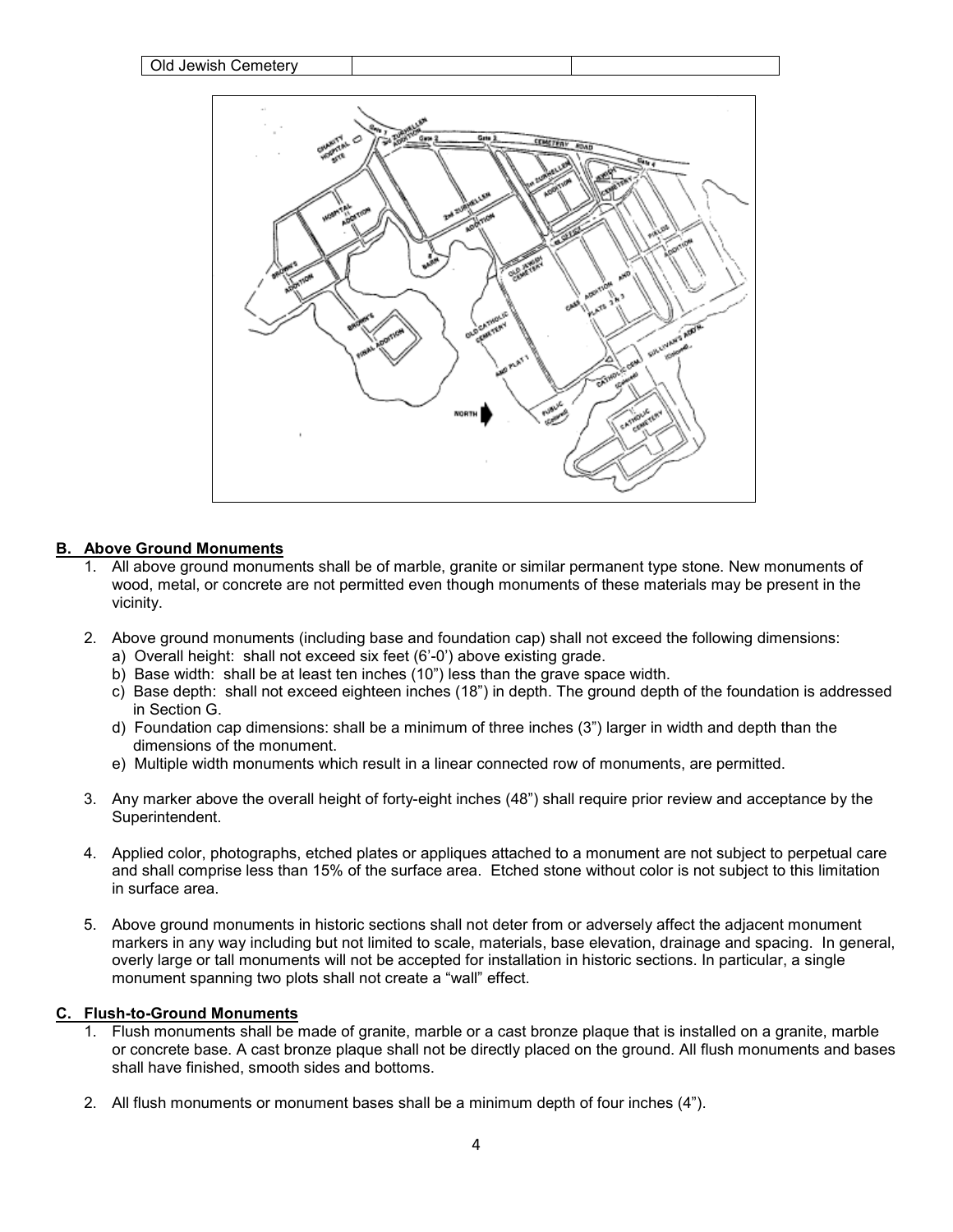

#### **B. Above Ground Monuments**

- All above ground monuments shall be of marble, granite or similar permanent type stone. New monuments of wood, metal, or concrete are not permitted even though monuments of these materials may be present in the vicinity.
- 2. Above ground monuments (including base and foundation cap) shall not exceed the following dimensions:
	- a) Overall height: shall not exceed six feet (6'-0') above existing grade.
	- b) Base width: shall be at least ten inches (10") less than the grave space width.
	- c) Base depth: shall not exceed eighteen inches (18") in depth. The ground depth of the foundation is addressed in Section G.
	- d) Foundation cap dimensions: shall be a minimum of three inches (3") larger in width and depth than the dimensions of the monument.
	- e) Multiple width monuments which result in a linear connected row of monuments, are permitted.
- 3. Any marker above the overall height of forty-eight inches (48") shall require prior review and acceptance by the Superintendent.
- 4. Applied color, photographs, etched plates or appliques attached to a monument are not subject to perpetual care and shall comprise less than 15% of the surface area. Etched stone without color is not subject to this limitation in surface area.
- 5. Above ground monuments in historic sections shall not deter from or adversely affect the adjacent monument markers in any way including but not limited to scale, materials, base elevation, drainage and spacing. In general, overly large or tall monuments will not be accepted for installation in historic sections. In particular, a single monument spanning two plots shall not create a "wall" effect.

#### **C. Flush-to-Ground Monuments**

- 1. Flush monuments shall be made of granite, marble or a cast bronze plaque that is installed on a granite, marble or concrete base. A cast bronze plaque shall not be directly placed on the ground. All flush monuments and bases shall have finished, smooth sides and bottoms.
- 2. All flush monuments or monument bases shall be a minimum depth of four inches (4").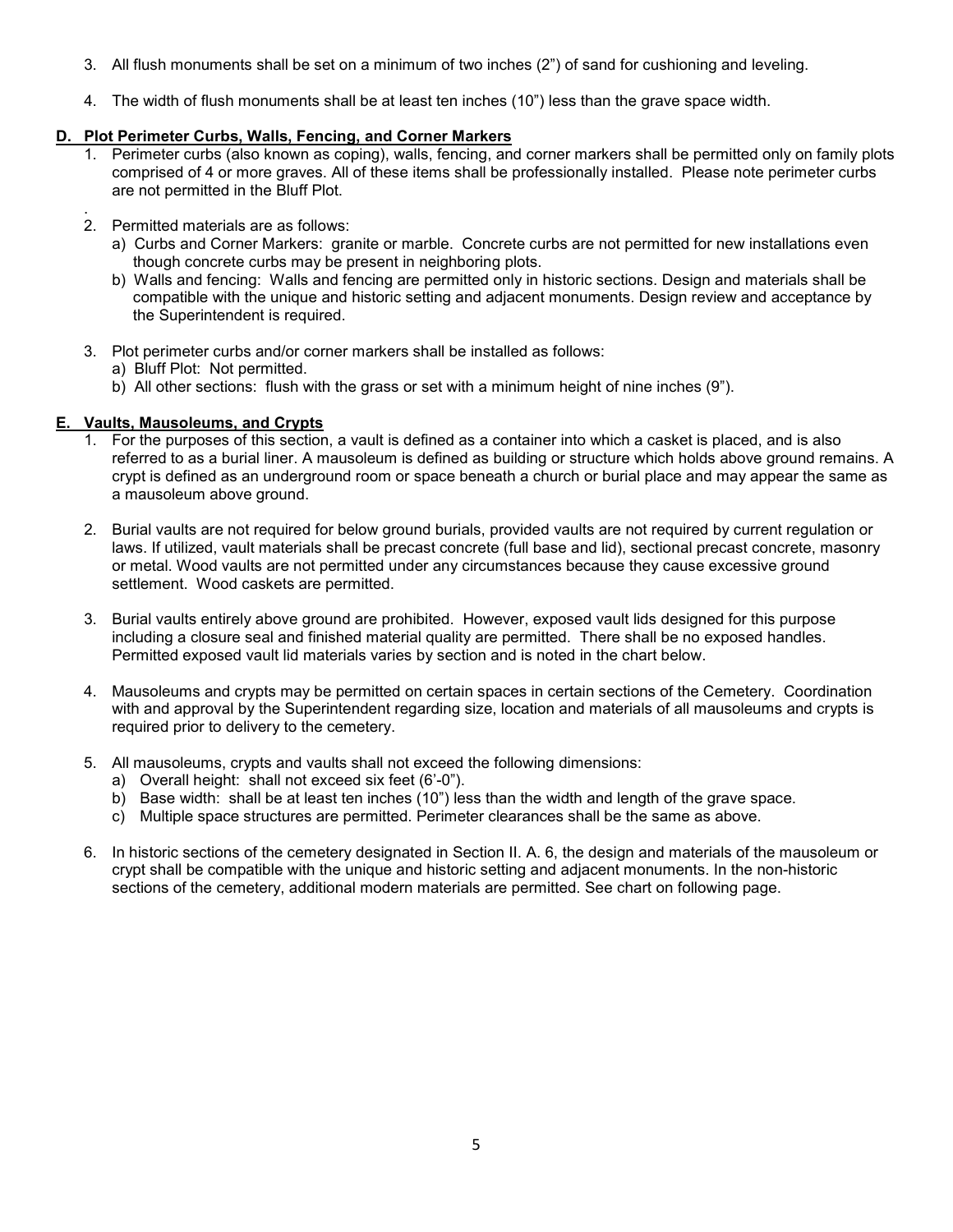- 3. All flush monuments shall be set on a minimum of two inches (2") of sand for cushioning and leveling.
- 4. The width of flush monuments shall be at least ten inches (10") less than the grave space width.

#### **D. Plot Perimeter Curbs, Walls, Fencing, and Corner Markers**

- 1. Perimeter curbs (also known as coping), walls, fencing, and corner markers shall be permitted only on family plots comprised of 4 or more graves. All of these items shall be professionally installed. Please note perimeter curbs are not permitted in the Bluff Plot.
- . 2. Permitted materials are as follows:
	- a) Curbs and Corner Markers: granite or marble. Concrete curbs are not permitted for new installations even though concrete curbs may be present in neighboring plots.
	- b) Walls and fencing: Walls and fencing are permitted only in historic sections. Design and materials shall be compatible with the unique and historic setting and adjacent monuments. Design review and acceptance by the Superintendent is required.
- 3. Plot perimeter curbs and/or corner markers shall be installed as follows:
	- a) Bluff Plot: Not permitted.
	- b) All other sections: flush with the grass or set with a minimum height of nine inches (9").

#### **E. Vaults, Mausoleums, and Crypts**

- 1. For the purposes of this section, a vault is defined as a container into which a casket is placed, and is also referred to as a burial liner. A mausoleum is defined as building or structure which holds above ground remains. A crypt is defined as an underground room or space beneath a church or burial place and may appear the same as a mausoleum above ground.
- 2. Burial vaults are not required for below ground burials, provided vaults are not required by current regulation or laws. If utilized, vault materials shall be precast concrete (full base and lid), sectional precast concrete, masonry or metal. Wood vaults are not permitted under any circumstances because they cause excessive ground settlement. Wood caskets are permitted.
- 3. Burial vaults entirely above ground are prohibited. However, exposed vault lids designed for this purpose including a closure seal and finished material quality are permitted. There shall be no exposed handles. Permitted exposed vault lid materials varies by section and is noted in the chart below.
- 4. Mausoleums and crypts may be permitted on certain spaces in certain sections of the Cemetery. Coordination with and approval by the Superintendent regarding size, location and materials of all mausoleums and crypts is required prior to delivery to the cemetery.
- 5. All mausoleums, crypts and vaults shall not exceed the following dimensions:
	- a) Overall height: shall not exceed six feet (6'-0").
	- b) Base width: shall be at least ten inches (10") less than the width and length of the grave space.
	- c) Multiple space structures are permitted. Perimeter clearances shall be the same as above.
- 6. In historic sections of the cemetery designated in Section II. A. 6, the design and materials of the mausoleum or crypt shall be compatible with the unique and historic setting and adjacent monuments. In the non-historic sections of the cemetery, additional modern materials are permitted. See chart on following page.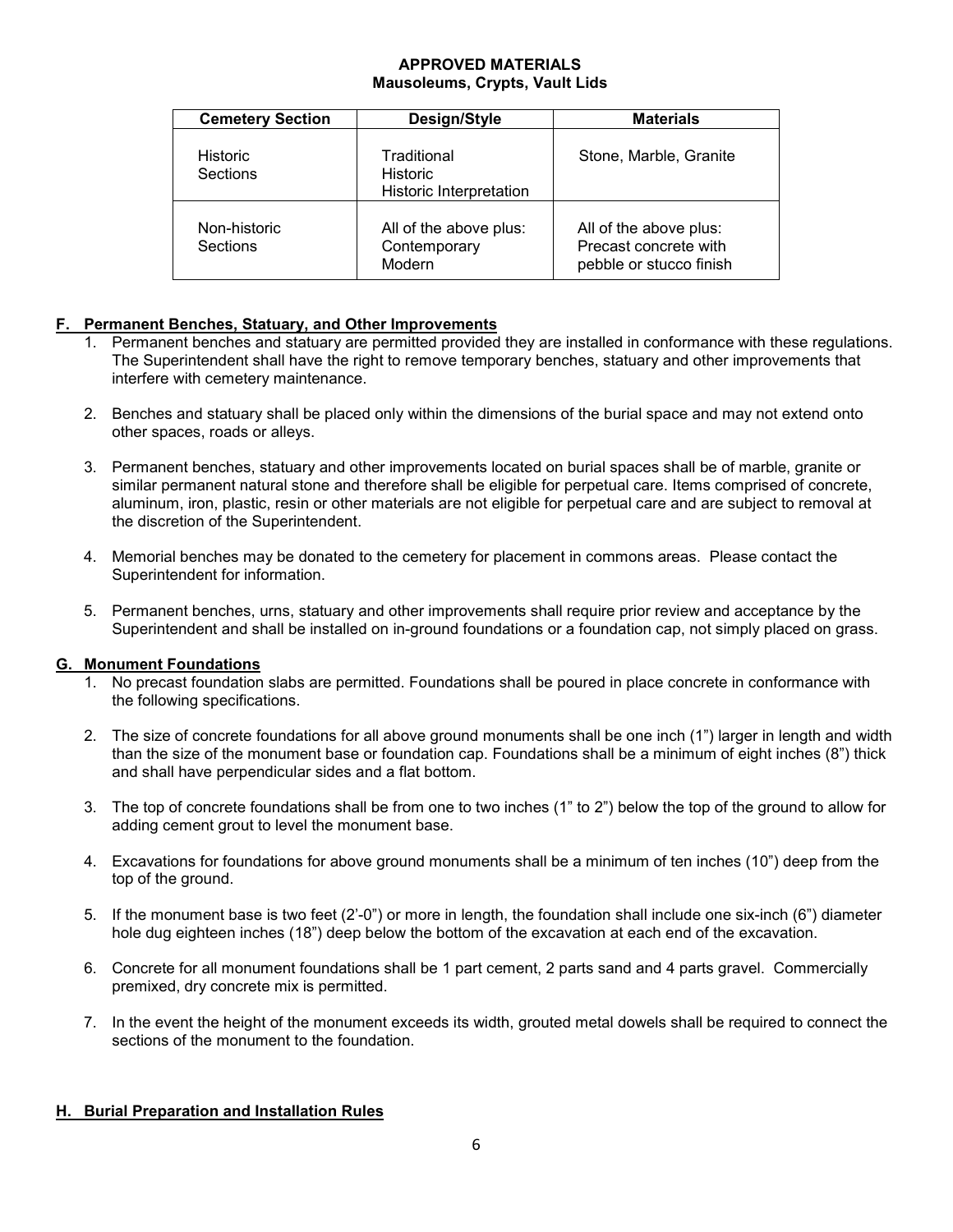## **APPROVED MATERIALS Mausoleums, Crypts, Vault Lids**

| <b>Cemetery Section</b>            | Design/Style                                       | <b>Materials</b>                                                           |
|------------------------------------|----------------------------------------------------|----------------------------------------------------------------------------|
| <b>Historic</b><br><b>Sections</b> | Traditional<br>Historic<br>Historic Interpretation | Stone, Marble, Granite                                                     |
| Non-historic<br>Sections           | All of the above plus:<br>Contemporary<br>Modern   | All of the above plus:<br>Precast concrete with<br>pebble or stucco finish |

## **F. Permanent Benches, Statuary, and Other Improvements**

- 1. Permanent benches and statuary are permitted provided they are installed in conformance with these regulations. The Superintendent shall have the right to remove temporary benches, statuary and other improvements that interfere with cemetery maintenance.
- 2. Benches and statuary shall be placed only within the dimensions of the burial space and may not extend onto other spaces, roads or alleys.
- 3. Permanent benches, statuary and other improvements located on burial spaces shall be of marble, granite or similar permanent natural stone and therefore shall be eligible for perpetual care. Items comprised of concrete, aluminum, iron, plastic, resin or other materials are not eligible for perpetual care and are subject to removal at the discretion of the Superintendent.
- 4. Memorial benches may be donated to the cemetery for placement in commons areas. Please contact the Superintendent for information.
- 5. Permanent benches, urns, statuary and other improvements shall require prior review and acceptance by the Superintendent and shall be installed on in-ground foundations or a foundation cap, not simply placed on grass.

## **G. Monument Foundations**

- 1. No precast foundation slabs are permitted. Foundations shall be poured in place concrete in conformance with the following specifications.
- 2. The size of concrete foundations for all above ground monuments shall be one inch (1") larger in length and width than the size of the monument base or foundation cap. Foundations shall be a minimum of eight inches (8") thick and shall have perpendicular sides and a flat bottom.
- 3. The top of concrete foundations shall be from one to two inches (1" to 2") below the top of the ground to allow for adding cement grout to level the monument base.
- 4. Excavations for foundations for above ground monuments shall be a minimum of ten inches (10") deep from the top of the ground.
- 5. If the monument base is two feet (2'-0") or more in length, the foundation shall include one six-inch (6") diameter hole dug eighteen inches (18") deep below the bottom of the excavation at each end of the excavation.
- 6. Concrete for all monument foundations shall be 1 part cement, 2 parts sand and 4 parts gravel. Commercially premixed, dry concrete mix is permitted.
- 7. In the event the height of the monument exceeds its width, grouted metal dowels shall be required to connect the sections of the monument to the foundation.

## **H. Burial Preparation and Installation Rules**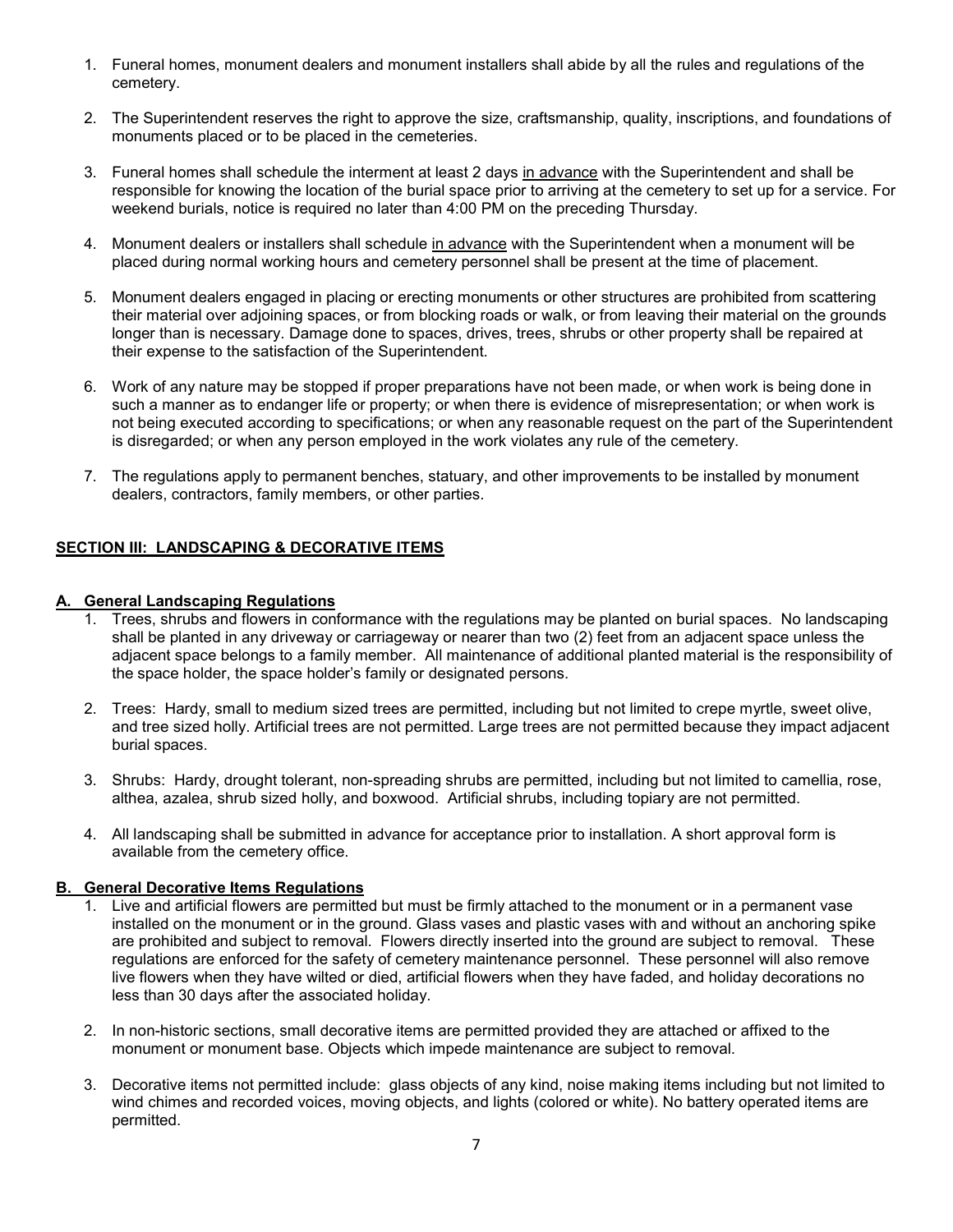- 1. Funeral homes, monument dealers and monument installers shall abide by all the rules and regulations of the cemetery.
- 2. The Superintendent reserves the right to approve the size, craftsmanship, quality, inscriptions, and foundations of monuments placed or to be placed in the cemeteries.
- 3. Funeral homes shall schedule the interment at least 2 days in advance with the Superintendent and shall be responsible for knowing the location of the burial space prior to arriving at the cemetery to set up for a service. For weekend burials, notice is required no later than 4:00 PM on the preceding Thursday.
- 4. Monument dealers or installers shall schedule in advance with the Superintendent when a monument will be placed during normal working hours and cemetery personnel shall be present at the time of placement.
- 5. Monument dealers engaged in placing or erecting monuments or other structures are prohibited from scattering their material over adjoining spaces, or from blocking roads or walk, or from leaving their material on the grounds longer than is necessary. Damage done to spaces, drives, trees, shrubs or other property shall be repaired at their expense to the satisfaction of the Superintendent.
- 6. Work of any nature may be stopped if proper preparations have not been made, or when work is being done in such a manner as to endanger life or property; or when there is evidence of misrepresentation; or when work is not being executed according to specifications; or when any reasonable request on the part of the Superintendent is disregarded; or when any person employed in the work violates any rule of the cemetery.
- 7. The regulations apply to permanent benches, statuary, and other improvements to be installed by monument dealers, contractors, family members, or other parties.

## **SECTION III: LANDSCAPING & DECORATIVE ITEMS**

#### **A. General Landscaping Regulations**

- 1. Trees, shrubs and flowers in conformance with the regulations may be planted on burial spaces. No landscaping shall be planted in any driveway or carriageway or nearer than two (2) feet from an adjacent space unless the adjacent space belongs to a family member. All maintenance of additional planted material is the responsibility of the space holder, the space holder's family or designated persons.
- 2. Trees: Hardy, small to medium sized trees are permitted, including but not limited to crepe myrtle, sweet olive, and tree sized holly. Artificial trees are not permitted. Large trees are not permitted because they impact adjacent burial spaces.
- 3. Shrubs: Hardy, drought tolerant, non-spreading shrubs are permitted, including but not limited to camellia, rose, althea, azalea, shrub sized holly, and boxwood. Artificial shrubs, including topiary are not permitted.
- 4. All landscaping shall be submitted in advance for acceptance prior to installation. A short approval form is available from the cemetery office.

#### **B. General Decorative Items Regulations**

- 1. Live and artificial flowers are permitted but must be firmly attached to the monument or in a permanent vase installed on the monument or in the ground. Glass vases and plastic vases with and without an anchoring spike are prohibited and subject to removal. Flowers directly inserted into the ground are subject to removal. These regulations are enforced for the safety of cemetery maintenance personnel. These personnel will also remove live flowers when they have wilted or died, artificial flowers when they have faded, and holiday decorations no less than 30 days after the associated holiday.
- 2. In non-historic sections, small decorative items are permitted provided they are attached or affixed to the monument or monument base. Objects which impede maintenance are subject to removal.
- 3. Decorative items not permitted include: glass objects of any kind, noise making items including but not limited to wind chimes and recorded voices, moving objects, and lights (colored or white). No battery operated items are permitted.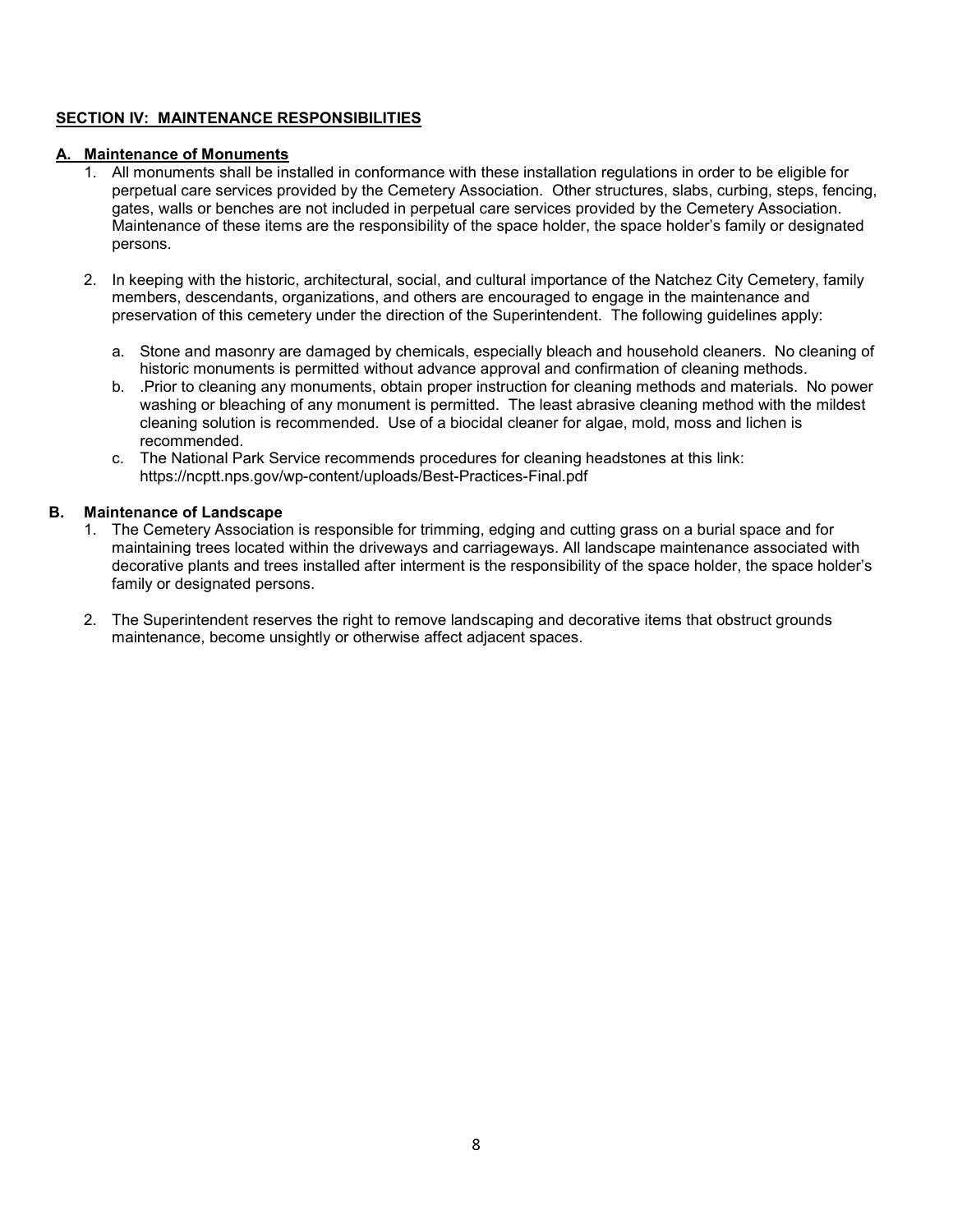## **SECTION IV: MAINTENANCE RESPONSIBILITIES**

#### **A. Maintenance of Monuments**

- 1. All monuments shall be installed in conformance with these installation regulations in order to be eligible for perpetual care services provided by the Cemetery Association. Other structures, slabs, curbing, steps, fencing, gates, walls or benches are not included in perpetual care services provided by the Cemetery Association. Maintenance of these items are the responsibility of the space holder, the space holder's family or designated persons.
- 2. In keeping with the historic, architectural, social, and cultural importance of the Natchez City Cemetery, family members, descendants, organizations, and others are encouraged to engage in the maintenance and preservation of this cemetery under the direction of the Superintendent. The following guidelines apply:
	- a. Stone and masonry are damaged by chemicals, especially bleach and household cleaners. No cleaning of historic monuments is permitted without advance approval and confirmation of cleaning methods.
	- b. .Prior to cleaning any monuments, obtain proper instruction for cleaning methods and materials. No power washing or bleaching of any monument is permitted. The least abrasive cleaning method with the mildest cleaning solution is recommended. Use of a biocidal cleaner for algae, mold, moss and lichen is recommended.
	- c. The National Park Service recommends procedures for cleaning headstones at this link: https://ncptt.nps.gov/wp-content/uploads/Best-Practices-Final.pdf

#### **B. Maintenance of Landscape**

- 1. The Cemetery Association is responsible for trimming, edging and cutting grass on a burial space and for maintaining trees located within the driveways and carriageways. All landscape maintenance associated with decorative plants and trees installed after interment is the responsibility of the space holder, the space holder's family or designated persons.
- 2. The Superintendent reserves the right to remove landscaping and decorative items that obstruct grounds maintenance, become unsightly or otherwise affect adjacent spaces.